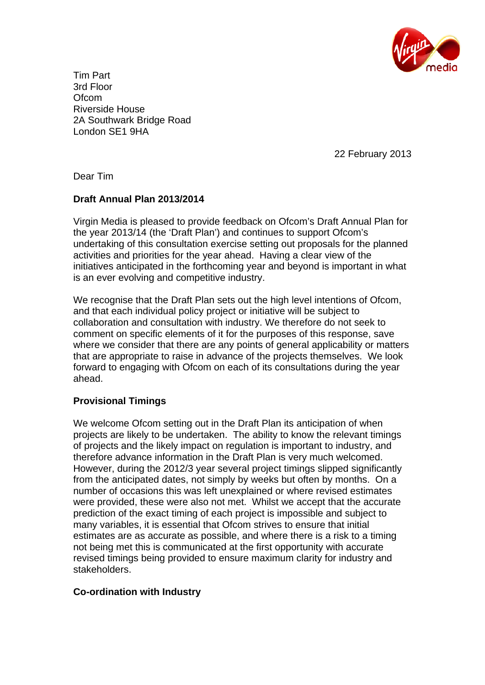

Tim Part 3rd Floor **Ofcom** Riverside House 2A Southwark Bridge Road London SE1 9HA

22 February 2013

Dear Tim

# **Draft Annual Plan 2013/2014**

Virgin Media is pleased to provide feedback on Ofcom's Draft Annual Plan for the year 2013/14 (the 'Draft Plan') and continues to support Ofcom's undertaking of this consultation exercise setting out proposals for the planned activities and priorities for the year ahead. Having a clear view of the initiatives anticipated in the forthcoming year and beyond is important in what is an ever evolving and competitive industry.

We recognise that the Draft Plan sets out the high level intentions of Ofcom, and that each individual policy project or initiative will be subject to collaboration and consultation with industry. We therefore do not seek to comment on specific elements of it for the purposes of this response, save where we consider that there are any points of general applicability or matters that are appropriate to raise in advance of the projects themselves. We look forward to engaging with Ofcom on each of its consultations during the year ahead.

## **Provisional Timings**

We welcome Ofcom setting out in the Draft Plan its anticipation of when projects are likely to be undertaken. The ability to know the relevant timings of projects and the likely impact on regulation is important to industry, and therefore advance information in the Draft Plan is very much welcomed. However, during the 2012/3 year several project timings slipped significantly from the anticipated dates, not simply by weeks but often by months. On a number of occasions this was left unexplained or where revised estimates were provided, these were also not met. Whilst we accept that the accurate prediction of the exact timing of each project is impossible and subject to many variables, it is essential that Ofcom strives to ensure that initial estimates are as accurate as possible, and where there is a risk to a timing not being met this is communicated at the first opportunity with accurate revised timings being provided to ensure maximum clarity for industry and stakeholders.

## **Co-ordination with Industry**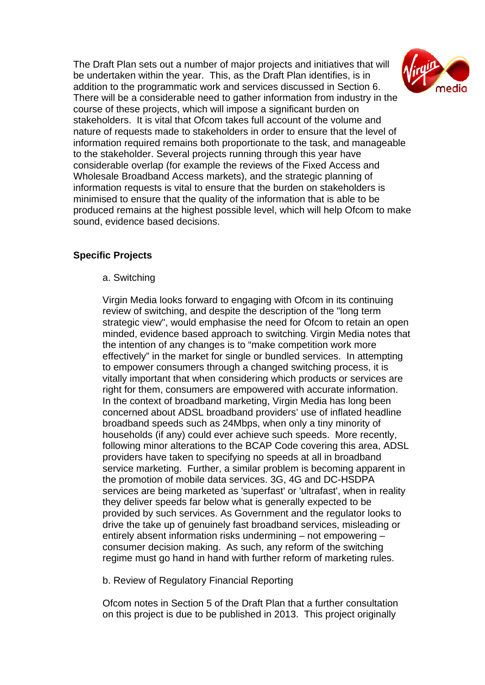The Draft Plan sets out a number of major projects and initiatives that will be undertaken within the year. This, as the Draft Plan identifies, is in addition to the programmatic work and services discussed in Section 6. There will be a considerable need to gather information from industry in the course of these projects, which will impose a significant burden on stakeholders. It is vital that Ofcom takes full account of the volume and nature of requests made to stakeholders in order to ensure that the level of information required remains both proportionate to the task, and manageable to the stakeholder. Several projects running through this year have considerable overlap (for example the reviews of the Fixed Access and Wholesale Broadband Access markets), and the strategic planning of information requests is vital to ensure that the burden on stakeholders is minimised to ensure that the quality of the information that is able to be produced remains at the highest possible level, which will help Ofcom to make sound, evidence based decisions.



# **Specific Projects**

a. Switching

Virgin Media looks forward to engaging with Ofcom in its continuing review of switching, and despite the description of the "long term strategic view", would emphasise the need for Ofcom to retain an open minded, evidence based approach to switching. Virgin Media notes that the intention of any changes is to "make competition work more effectively" in the market for single or bundled services. In attempting to empower consumers through a changed switching process, it is vitally important that when considering which products or services are right for them, consumers are empowered with accurate information. In the context of broadband marketing, Virgin Media has long been concerned about ADSL broadband providers' use of inflated headline broadband speeds such as 24Mbps, when only a tiny minority of households (if any) could ever achieve such speeds. More recently, following minor alterations to the BCAP Code covering this area, ADSL providers have taken to specifying no speeds at all in broadband service marketing. Further, a similar problem is becoming apparent in the promotion of mobile data services. 3G, 4G and DC-HSDPA services are being marketed as 'superfast' or 'ultrafast', when in reality they deliver speeds far below what is generally expected to be provided by such services. As Government and the regulator looks to drive the take up of genuinely fast broadband services, misleading or entirely absent information risks undermining – not empowering – consumer decision making. As such, any reform of the switching regime must go hand in hand with further reform of marketing rules.

b. Review of Regulatory Financial Reporting

Ofcom notes in Section 5 of the Draft Plan that a further consultation on this project is due to be published in 2013. This project originally